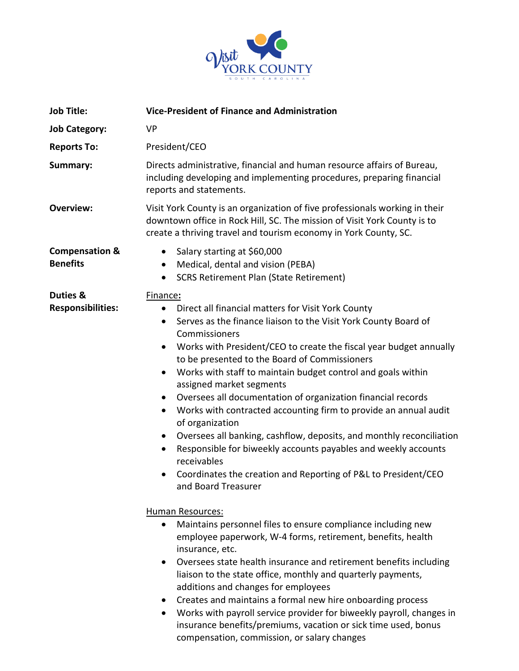

| <b>Job Title:</b>                            | <b>Vice-President of Finance and Administration</b>                                                                                                                                                                                                                                                                                                                                                                                                                                                                                                                                                                                                                                                                                                                                                                                                          |  |
|----------------------------------------------|--------------------------------------------------------------------------------------------------------------------------------------------------------------------------------------------------------------------------------------------------------------------------------------------------------------------------------------------------------------------------------------------------------------------------------------------------------------------------------------------------------------------------------------------------------------------------------------------------------------------------------------------------------------------------------------------------------------------------------------------------------------------------------------------------------------------------------------------------------------|--|
| <b>Job Category:</b>                         | <b>VP</b>                                                                                                                                                                                                                                                                                                                                                                                                                                                                                                                                                                                                                                                                                                                                                                                                                                                    |  |
| <b>Reports To:</b>                           | President/CEO                                                                                                                                                                                                                                                                                                                                                                                                                                                                                                                                                                                                                                                                                                                                                                                                                                                |  |
| Summary:                                     | Directs administrative, financial and human resource affairs of Bureau,<br>including developing and implementing procedures, preparing financial<br>reports and statements.                                                                                                                                                                                                                                                                                                                                                                                                                                                                                                                                                                                                                                                                                  |  |
| <b>Overview:</b>                             | Visit York County is an organization of five professionals working in their<br>downtown office in Rock Hill, SC. The mission of Visit York County is to<br>create a thriving travel and tourism economy in York County, SC.                                                                                                                                                                                                                                                                                                                                                                                                                                                                                                                                                                                                                                  |  |
| <b>Compensation &amp;</b><br><b>Benefits</b> | Salary starting at \$60,000<br>$\bullet$<br>Medical, dental and vision (PEBA)<br><b>SCRS Retirement Plan (State Retirement)</b>                                                                                                                                                                                                                                                                                                                                                                                                                                                                                                                                                                                                                                                                                                                              |  |
| Duties &<br><b>Responsibilities:</b>         | Finance:<br>Direct all financial matters for Visit York County<br>$\bullet$<br>Serves as the finance liaison to the Visit York County Board of<br>$\bullet$<br>Commissioners<br>Works with President/CEO to create the fiscal year budget annually<br>to be presented to the Board of Commissioners<br>Works with staff to maintain budget control and goals within<br>$\bullet$<br>assigned market segments<br>Oversees all documentation of organization financial records<br>$\bullet$<br>Works with contracted accounting firm to provide an annual audit<br>$\bullet$<br>of organization<br>Oversees all banking, cashflow, deposits, and monthly reconciliation<br>$\bullet$<br>Responsible for biweekly accounts payables and weekly accounts<br>receivables<br>Coordinates the creation and Reporting of P&L to President/CEO<br>and Board Treasurer |  |
|                                              | <b>Human Resources:</b><br>Maintains personnel files to ensure compliance including new<br>employee paperwork, W-4 forms, retirement, benefits, health<br>insurance, etc.<br>Oversees state health insurance and retirement benefits including<br>$\bullet$<br>liaison to the state office, monthly and quarterly payments,<br>additions and changes for employees<br>Creates and maintains a formal new hire onboarding process<br>$\bullet$<br>Works with payroll service provider for biweekly payroll, changes in<br>$\bullet$<br>insurance benefits/premiums, vacation or sick time used, bonus                                                                                                                                                                                                                                                         |  |

compensation, commission, or salary changes